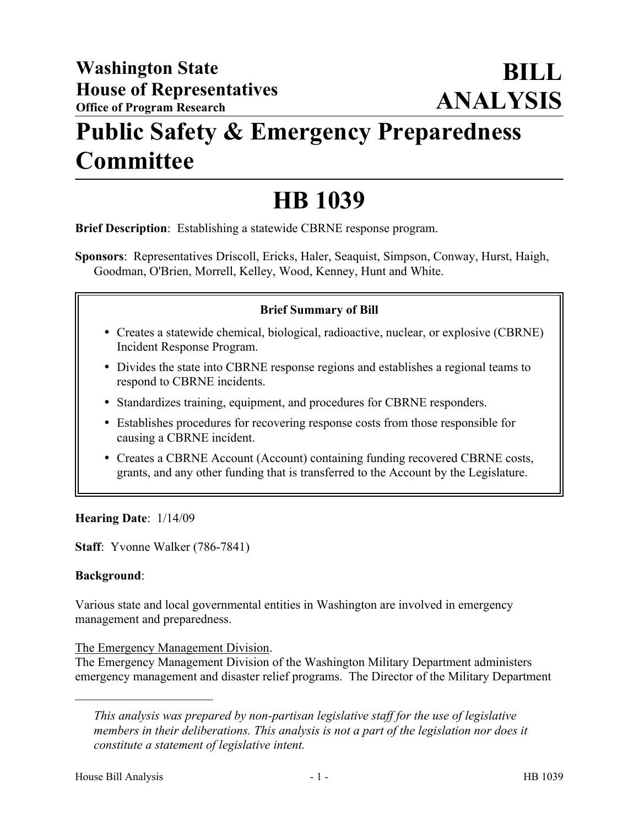## **Public Safety & Emergency Preparedness Committee**

# **HB 1039**

**Brief Description**: Establishing a statewide CBRNE response program.

**Sponsors**: Representatives Driscoll, Ericks, Haler, Seaquist, Simpson, Conway, Hurst, Haigh, Goodman, O'Brien, Morrell, Kelley, Wood, Kenney, Hunt and White.

## **Brief Summary of Bill**

- Creates a statewide chemical, biological, radioactive, nuclear, or explosive (CBRNE) Incident Response Program.
- � Divides the state into CBRNE response regions and establishes a regional teams to respond to CBRNE incidents.
- � Standardizes training, equipment, and procedures for CBRNE responders.
- � Establishes procedures for recovering response costs from those responsible for causing a CBRNE incident.
- � Creates a CBRNE Account (Account) containing funding recovered CBRNE costs, grants, and any other funding that is transferred to the Account by the Legislature.

**Hearing Date**: 1/14/09

**Staff**: Yvonne Walker (786-7841)

#### **Background**:

Various state and local governmental entities in Washington are involved in emergency management and preparedness.

#### The Emergency Management Division.

 $\mathcal{L}_\text{max}$  , where  $\mathcal{L}_\text{max}$  , we have the set of  $\mathcal{L}_\text{max}$ 

The Emergency Management Division of the Washington Military Department administers emergency management and disaster relief programs. The Director of the Military Department

*This analysis was prepared by non-partisan legislative staff for the use of legislative members in their deliberations. This analysis is not a part of the legislation nor does it constitute a statement of legislative intent.*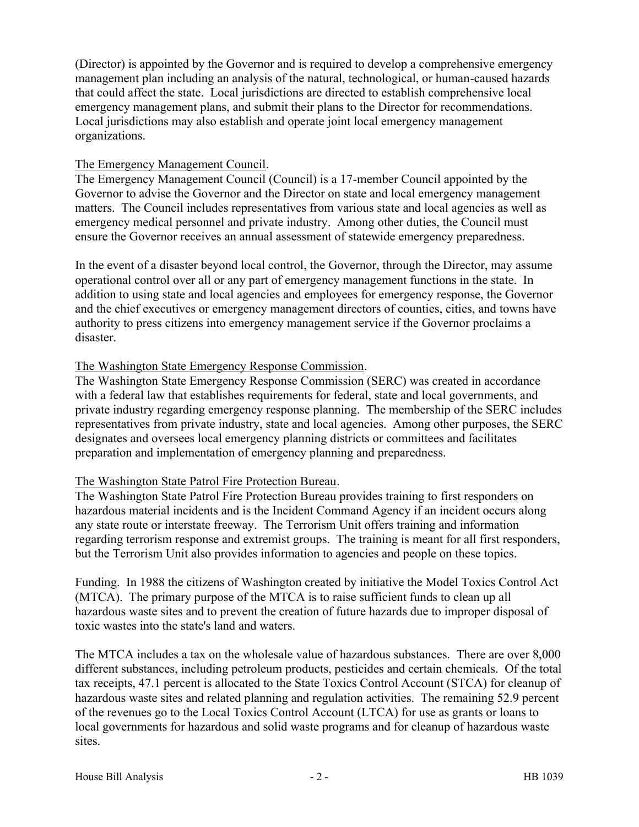(Director) is appointed by the Governor and is required to develop a comprehensive emergency management plan including an analysis of the natural, technological, or human-caused hazards that could affect the state. Local jurisdictions are directed to establish comprehensive local emergency management plans, and submit their plans to the Director for recommendations. Local jurisdictions may also establish and operate joint local emergency management organizations.

## The Emergency Management Council.

The Emergency Management Council (Council) is a 17-member Council appointed by the Governor to advise the Governor and the Director on state and local emergency management matters. The Council includes representatives from various state and local agencies as well as emergency medical personnel and private industry. Among other duties, the Council must ensure the Governor receives an annual assessment of statewide emergency preparedness.

In the event of a disaster beyond local control, the Governor, through the Director, may assume operational control over all or any part of emergency management functions in the state. In addition to using state and local agencies and employees for emergency response, the Governor and the chief executives or emergency management directors of counties, cities, and towns have authority to press citizens into emergency management service if the Governor proclaims a disaster.

## The Washington State Emergency Response Commission.

The Washington State Emergency Response Commission (SERC) was created in accordance with a federal law that establishes requirements for federal, state and local governments, and private industry regarding emergency response planning. The membership of the SERC includes representatives from private industry, state and local agencies. Among other purposes, the SERC designates and oversees local emergency planning districts or committees and facilitates preparation and implementation of emergency planning and preparedness.

## The Washington State Patrol Fire Protection Bureau.

The Washington State Patrol Fire Protection Bureau provides training to first responders on hazardous material incidents and is the Incident Command Agency if an incident occurs along any state route or interstate freeway. The Terrorism Unit offers training and information regarding terrorism response and extremist groups. The training is meant for all first responders, but the Terrorism Unit also provides information to agencies and people on these topics.

Funding. In 1988 the citizens of Washington created by initiative the Model Toxics Control Act (MTCA). The primary purpose of the MTCA is to raise sufficient funds to clean up all hazardous waste sites and to prevent the creation of future hazards due to improper disposal of toxic wastes into the state's land and waters.

The MTCA includes a tax on the wholesale value of hazardous substances. There are over 8,000 different substances, including petroleum products, pesticides and certain chemicals. Of the total tax receipts, 47.1 percent is allocated to the State Toxics Control Account (STCA) for cleanup of hazardous waste sites and related planning and regulation activities. The remaining 52.9 percent of the revenues go to the Local Toxics Control Account (LTCA) for use as grants or loans to local governments for hazardous and solid waste programs and for cleanup of hazardous waste sites.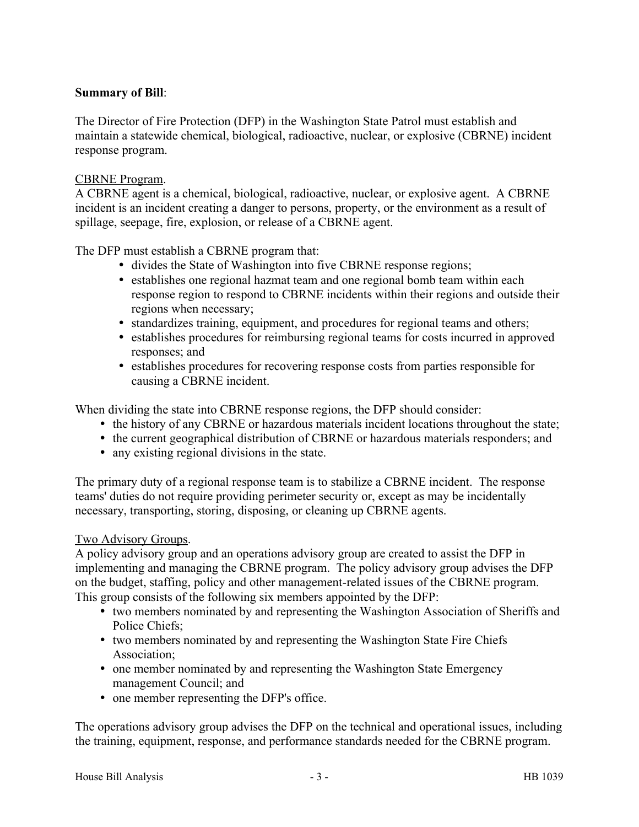## **Summary of Bill**:

The Director of Fire Protection (DFP) in the Washington State Patrol must establish and maintain a statewide chemical, biological, radioactive, nuclear, or explosive (CBRNE) incident response program.

## CBRNE Program.

A CBRNE agent is a chemical, biological, radioactive, nuclear, or explosive agent. A CBRNE incident is an incident creating a danger to persons, property, or the environment as a result of spillage, seepage, fire, explosion, or release of a CBRNE agent.

The DFP must establish a CBRNE program that:

- � divides the State of Washington into five CBRNE response regions;
- � establishes one regional hazmat team and one regional bomb team within each response region to respond to CBRNE incidents within their regions and outside their regions when necessary;
- � standardizes training, equipment, and procedures for regional teams and others;
- � establishes procedures for reimbursing regional teams for costs incurred in approved responses; and
- � establishes procedures for recovering response costs from parties responsible for causing a CBRNE incident.

When dividing the state into CBRNE response regions, the DFP should consider:

- the history of any CBRNE or hazardous materials incident locations throughout the state;
- � the current geographical distribution of CBRNE or hazardous materials responders; and
- any existing regional divisions in the state.

The primary duty of a regional response team is to stabilize a CBRNE incident. The response teams' duties do not require providing perimeter security or, except as may be incidentally necessary, transporting, storing, disposing, or cleaning up CBRNE agents.

#### Two Advisory Groups.

A policy advisory group and an operations advisory group are created to assist the DFP in implementing and managing the CBRNE program. The policy advisory group advises the DFP on the budget, staffing, policy and other management-related issues of the CBRNE program. This group consists of the following six members appointed by the DFP:

- � two members nominated by and representing the Washington Association of Sheriffs and Police Chiefs;
- � two members nominated by and representing the Washington State Fire Chiefs Association;
- one member nominated by and representing the Washington State Emergency management Council; and
- one member representing the DFP's office.

The operations advisory group advises the DFP on the technical and operational issues, including the training, equipment, response, and performance standards needed for the CBRNE program.